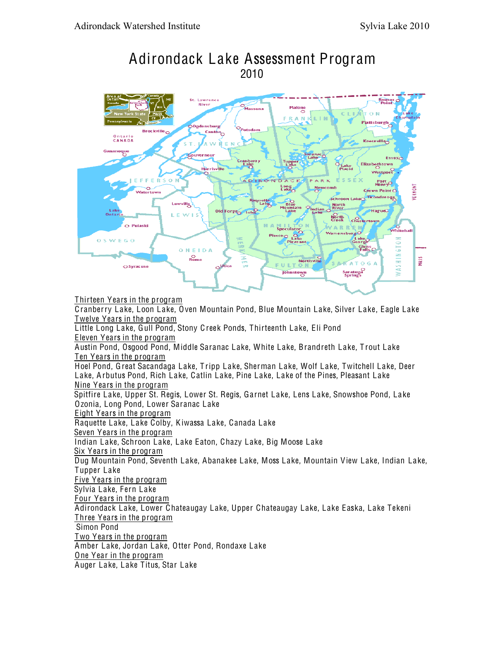

Adirondack Lake Assessment Program

Cranberry Lake, Loon Lake, Oven Mountain Pond, Blue Mountain Lake, Silver Lake, Eagle Lake Twelve Years in the program Little Long Lake, Gull Pond, Stony Creek Ponds, Thirteenth Lake, Eli Pond Eleven Years in the program Austin Pond, Osgood Pond, Middle Saranac Lake, White Lake, Brandreth Lake, T rout Lake Ten Years in the program Hoel Pond, Great Sacandaga Lake, T ripp Lake, Sherman Lake, Wolf Lake, Twitchell Lake, Deer Lake, Arbutus Pond, Rich Lake, Catlin Lake, Pine Lake, Lake of the Pines, Pleasant Lake Nine Years in the program Spitfire Lake, Upper St. Regis, Lower St. Regis, Garnet Lake, Lens Lake, Snowshoe Pond, Lake Ozonia, Long Pond, Lower Saranac Lake Eight Years in the program Raquette Lake, Lake Colby, K iwassa Lake, Canada Lake Seven Years in the program Indian Lake, Schroon Lake, Lake Eaton, Chazy Lake, Big Moose Lake Six Years in the program Dug Mountain Pond, Seventh Lake, Abanakee Lake, Moss Lake, Mountain View Lake, Indian Lake, Tupper Lake Five Years in the program Sylvia Lake, Fern Lake Four Years in the program Adirondack Lake, Lower Chateaugay Lake, Upper Chateaugay Lake, Lake Easka, Lake Tekeni Three Years in the program Simon Pond Two Years in the program Amber Lake, Jordan Lake, Otter Pond, Rondaxe Lake One Year in the program

Auger Lake, Lake Titus, Star Lake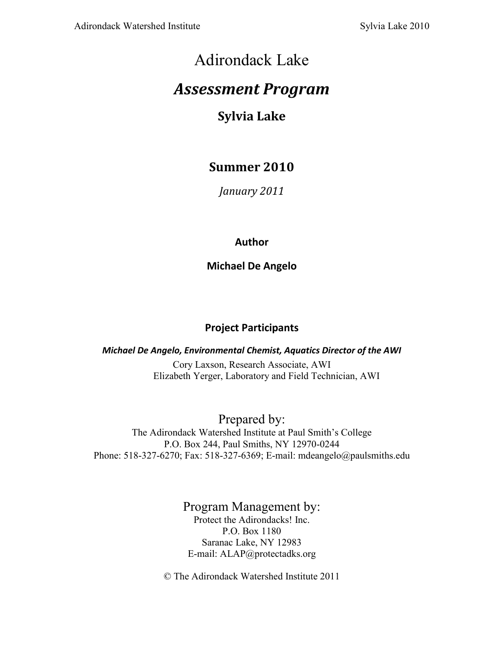## Adirondack Lake

## *Assessment'Program*

## **Sylvia Lake**

## **Summer 2010**

*January'2011*

## **Author**

**Michael De Angelo** 

## **Project Participants**

#### *Michael De Angelo, Environmental Chemist, Aquatics Director of the AWI*

Cory Laxson, Research Associate, AWI Elizabeth Yerger, Laboratory and Field Technician, AWI

## Prepared by:

The Adirondack Watershed Institute at Paul Smith's College P.O. Box 244, Paul Smiths, NY 12970-0244 Phone: 518-327-6270; Fax: 518-327-6369; E-mail: mdeangelo@paulsmiths.edu

## Program Management by:

Protect the Adirondacks! Inc. P.O. Box 1180 Saranac Lake, NY 12983 E-mail: ALAP@protectadks.org

© The Adirondack Watershed Institute 2011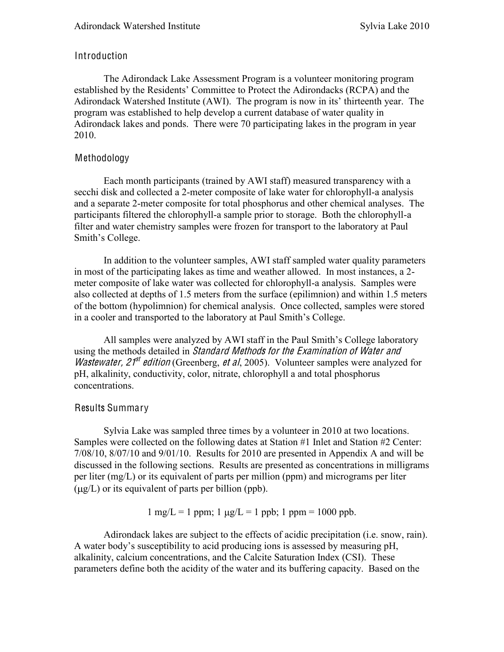#### Introduction

The Adirondack Lake Assessment Program is a volunteer monitoring program established by the Residents' Committee to Protect the Adirondacks (RCPA) and the Adirondack Watershed Institute (AWI). The program is now in its' thirteenth year. The program was established to help develop a current database of water quality in Adirondack lakes and ponds. There were 70 participating lakes in the program in year 2010.

#### Methodology

Each month participants (trained by AWI staff) measured transparency with a secchi disk and collected a 2-meter composite of lake water for chlorophyll-a analysis and a separate 2-meter composite for total phosphorus and other chemical analyses. The participants filtered the chlorophyll-a sample prior to storage. Both the chlorophyll-a filter and water chemistry samples were frozen for transport to the laboratory at Paul Smith's College.

In addition to the volunteer samples, AWI staff sampled water quality parameters in most of the participating lakes as time and weather allowed. In most instances, a 2 meter composite of lake water was collected for chlorophyll-a analysis. Samples were also collected at depths of 1.5 meters from the surface (epilimnion) and within 1.5 meters of the bottom (hypolimnion) for chemical analysis. Once collected, samples were stored in a cooler and transported to the laboratory at Paul Smith's College.

All samples were analyzed by AWI staff in the Paul Smith's College laboratory using the methods detailed in *Standard Methods for the Examination of Water and Wastewater, 21<sup>st</sup> edition* (Greenberg, *et al*, 2005). Volunteer samples were analyzed for pH, alkalinity, conductivity, color, nitrate, chlorophyll a and total phosphorus concentrations.

#### Results Summary

Sylvia Lake was sampled three times by a volunteer in 2010 at two locations. Samples were collected on the following dates at Station #1 Inlet and Station #2 Center: 7/08/10, 8/07/10 and 9/01/10. Results for 2010 are presented in Appendix A and will be discussed in the following sections. Results are presented as concentrations in milligrams per liter (mg/L) or its equivalent of parts per million (ppm) and micrograms per liter  $(\mu \rho/L)$  or its equivalent of parts per billion (ppb).

 $1 \text{ mg/L} = 1 \text{ ppm}; 1 \text{ µg/L} = 1 \text{ ppb}; 1 \text{ ppm} = 1000 \text{ ppb}.$ 

Adirondack lakes are subject to the effects of acidic precipitation (i.e. snow, rain). A water body's susceptibility to acid producing ions is assessed by measuring pH, alkalinity, calcium concentrations, and the Calcite Saturation Index (CSI). These parameters define both the acidity of the water and its buffering capacity. Based on the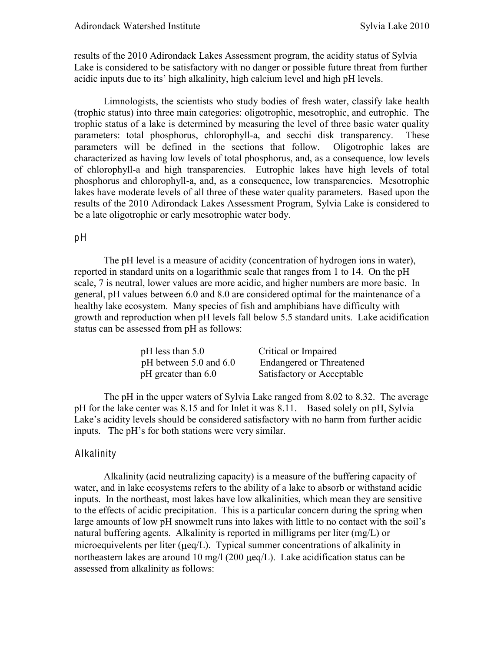results of the 2010 Adirondack Lakes Assessment program, the acidity status of Sylvia Lake is considered to be satisfactory with no danger or possible future threat from further acidic inputs due to its' high alkalinity, high calcium level and high pH levels.

Limnologists, the scientists who study bodies of fresh water, classify lake health (trophic status) into three main categories: oligotrophic, mesotrophic, and eutrophic. The trophic status of a lake is determined by measuring the level of three basic water quality parameters: total phosphorus, chlorophyll-a, and secchi disk transparency. These parameters will be defined in the sections that follow. Oligotrophic lakes are characterized as having low levels of total phosphorus, and, as a consequence, low levels of chlorophyll-a and high transparencies. Eutrophic lakes have high levels of total phosphorus and chlorophyll-a, and, as a consequence, low transparencies. Mesotrophic lakes have moderate levels of all three of these water quality parameters. Based upon the results of the 2010 Adirondack Lakes Assessment Program, Sylvia Lake is considered to be a late oligotrophic or early mesotrophic water body.

#### pH

The pH level is a measure of acidity (concentration of hydrogen ions in water), reported in standard units on a logarithmic scale that ranges from 1 to 14. On the pH scale, 7 is neutral, lower values are more acidic, and higher numbers are more basic. In general, pH values between 6.0 and 8.0 are considered optimal for the maintenance of a healthy lake ecosystem. Many species of fish and amphibians have difficulty with growth and reproduction when pH levels fall below 5.5 standard units. Lake acidification status can be assessed from pH as follows:

| $pH$ less than 5.0         | Critical or Impaired            |
|----------------------------|---------------------------------|
| pH between $5.0$ and $6.0$ | <b>Endangered or Threatened</b> |
| pH greater than 6.0        | Satisfactory or Acceptable      |

The pH in the upper waters of Sylvia Lake ranged from 8.02 to 8.32. The average pH for the lake center was 8.15 and for Inlet it was 8.11. Based solely on pH, Sylvia Lake's acidity levels should be considered satisfactory with no harm from further acidic inputs. The  $pH$ 's for both stations were very similar.

#### Alkalinity

Alkalinity (acid neutralizing capacity) is a measure of the buffering capacity of water, and in lake ecosystems refers to the ability of a lake to absorb or withstand acidic inputs. In the northeast, most lakes have low alkalinities, which mean they are sensitive to the effects of acidic precipitation. This is a particular concern during the spring when large amounts of low pH snowmelt runs into lakes with little to no contact with the soil's natural buffering agents. Alkalinity is reported in milligrams per liter (mg/L) or microequivelents per liter ( $\mu$ eq/L). Typical summer concentrations of alkalinity in northeastern lakes are around 10 mg/l (200  $\mu$ eq/L). Lake acidification status can be assessed from alkalinity as follows: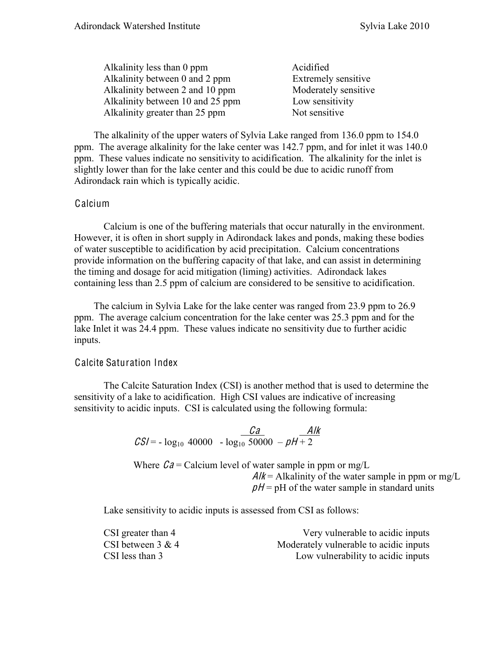| Acidified            |
|----------------------|
| Extremely sensitive  |
| Moderately sensitive |
| Low sensitivity      |
| Not sensitive        |
|                      |

 The alkalinity of the upper waters of Sylvia Lake ranged from 136.0 ppm to 154.0 ppm. The average alkalinity for the lake center was 142.7 ppm, and for inlet it was 140.0 ppm. These values indicate no sensitivity to acidification. The alkalinity for the inlet is slightly lower than for the lake center and this could be due to acidic runoff from Adirondack rain which is typically acidic.

#### Calcium

Calcium is one of the buffering materials that occur naturally in the environment. However, it is often in short supply in Adirondack lakes and ponds, making these bodies of water susceptible to acidification by acid precipitation. Calcium concentrations provide information on the buffering capacity of that lake, and can assist in determining the timing and dosage for acid mitigation (liming) activities. Adirondack lakes containing less than 2.5 ppm of calcium are considered to be sensitive to acidification.

 The calcium in Sylvia Lake for the lake center was ranged from 23.9 ppm to 26.9 ppm. The average calcium concentration for the lake center was 25.3 ppm and for the lake Inlet it was 24.4 ppm. These values indicate no sensitivity due to further acidic inputs.

#### Calcite Saturation Index

The Calcite Saturation Index (CSI) is another method that is used to determine the sensitivity of a lake to acidification. High CSI values are indicative of increasing sensitivity to acidic inputs. CSI is calculated using the following formula:

> <u>Ca Alk</u>  $\mathcal{CS}I$  = -  $\log_{10} 40000$  -  $\log_{10} 50000$  -  $\rho H + 2$

Where  $Ca =$  Calcium level of water sample in ppm or mg/L  $A/k =$  Alkalinity of the water sample in ppm or mg/L  $pH = pH$  of the water sample in standard units

Lake sensitivity to acidic inputs is assessed from CSI as follows:

| CSI greater than 4   | Very vulnerable to acidic inputs       |
|----------------------|----------------------------------------|
| CSI between $3 \& 4$ | Moderately vulnerable to acidic inputs |
| CSI less than 3      | Low vulnerability to acidic inputs     |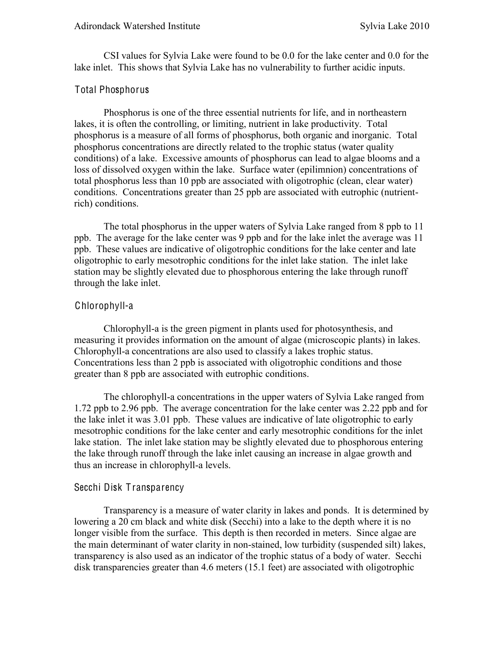CSI values for Sylvia Lake were found to be 0.0 for the lake center and 0.0 for the lake inlet. This shows that Sylvia Lake has no vulnerability to further acidic inputs.

#### Total Phosphorus

Phosphorus is one of the three essential nutrients for life, and in northeastern lakes, it is often the controlling, or limiting, nutrient in lake productivity. Total phosphorus is a measure of all forms of phosphorus, both organic and inorganic. Total phosphorus concentrations are directly related to the trophic status (water quality conditions) of a lake. Excessive amounts of phosphorus can lead to algae blooms and a loss of dissolved oxygen within the lake. Surface water (epilimnion) concentrations of total phosphorus less than 10 ppb are associated with oligotrophic (clean, clear water) conditions. Concentrations greater than 25 ppb are associated with eutrophic (nutrientrich) conditions.

The total phosphorus in the upper waters of Sylvia Lake ranged from 8 ppb to 11 ppb. The average for the lake center was 9 ppb and for the lake inlet the average was 11 ppb. These values are indicative of oligotrophic conditions for the lake center and late oligotrophic to early mesotrophic conditions for the inlet lake station. The inlet lake station may be slightly elevated due to phosphorous entering the lake through runoff through the lake inlet.

#### Chlorophyll-a

Chlorophyll-a is the green pigment in plants used for photosynthesis, and measuring it provides information on the amount of algae (microscopic plants) in lakes. Chlorophyll-a concentrations are also used to classify a lakes trophic status. Concentrations less than 2 ppb is associated with oligotrophic conditions and those greater than 8 ppb are associated with eutrophic conditions.

The chlorophyll-a concentrations in the upper waters of Sylvia Lake ranged from 1.72 ppb to 2.96 ppb. The average concentration for the lake center was 2.22 ppb and for the lake inlet it was 3.01 ppb. These values are indicative of late oligotrophic to early mesotrophic conditions for the lake center and early mesotrophic conditions for the inlet lake station. The inlet lake station may be slightly elevated due to phosphorous entering the lake through runoff through the lake inlet causing an increase in algae growth and thus an increase in chlorophyll-a levels.

#### Secchi Disk Transparency

Transparency is a measure of water clarity in lakes and ponds. It is determined by lowering a 20 cm black and white disk (Secchi) into a lake to the depth where it is no longer visible from the surface. This depth is then recorded in meters. Since algae are the main determinant of water clarity in non-stained, low turbidity (suspended silt) lakes, transparency is also used as an indicator of the trophic status of a body of water. Secchi disk transparencies greater than 4.6 meters (15.1 feet) are associated with oligotrophic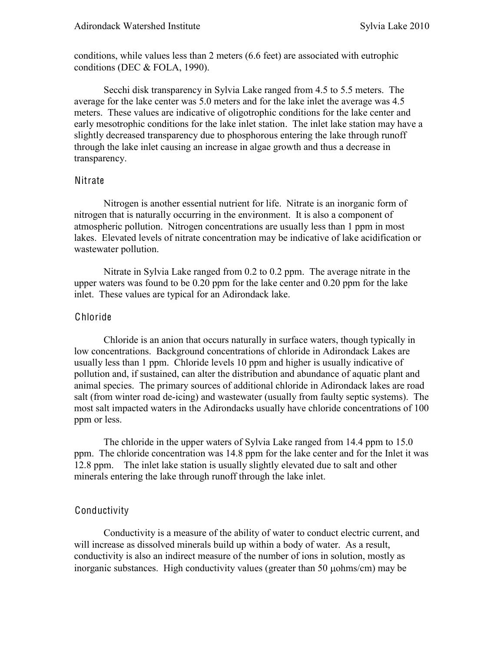conditions, while values less than 2 meters (6.6 feet) are associated with eutrophic conditions (DEC & FOLA, 1990).

Secchi disk transparency in Sylvia Lake ranged from 4.5 to 5.5 meters. The average for the lake center was 5.0 meters and for the lake inlet the average was 4.5 meters. These values are indicative of oligotrophic conditions for the lake center and early mesotrophic conditions for the lake inlet station. The inlet lake station may have a slightly decreased transparency due to phosphorous entering the lake through runoff through the lake inlet causing an increase in algae growth and thus a decrease in transparency.

#### **Nitrate**

Nitrogen is another essential nutrient for life. Nitrate is an inorganic form of nitrogen that is naturally occurring in the environment. It is also a component of atmospheric pollution. Nitrogen concentrations are usually less than 1 ppm in most lakes. Elevated levels of nitrate concentration may be indicative of lake acidification or wastewater pollution.

Nitrate in Sylvia Lake ranged from 0.2 to 0.2 ppm. The average nitrate in the upper waters was found to be 0.20 ppm for the lake center and 0.20 ppm for the lake inlet. These values are typical for an Adirondack lake.

#### Chloride

Chloride is an anion that occurs naturally in surface waters, though typically in low concentrations. Background concentrations of chloride in Adirondack Lakes are usually less than 1 ppm. Chloride levels 10 ppm and higher is usually indicative of pollution and, if sustained, can alter the distribution and abundance of aquatic plant and animal species. The primary sources of additional chloride in Adirondack lakes are road salt (from winter road de-icing) and wastewater (usually from faulty septic systems). The most salt impacted waters in the Adirondacks usually have chloride concentrations of 100 ppm or less.

The chloride in the upper waters of Sylvia Lake ranged from 14.4 ppm to 15.0 ppm. The chloride concentration was 14.8 ppm for the lake center and for the Inlet it was 12.8 ppm. The inlet lake station is usually slightly elevated due to salt and other minerals entering the lake through runoff through the lake inlet.

#### Conductivity

Conductivity is a measure of the ability of water to conduct electric current, and will increase as dissolved minerals build up within a body of water. As a result, conductivity is also an indirect measure of the number of ions in solution, mostly as inorganic substances. High conductivity values (greater than 50  $\mu$ ohms/cm) may be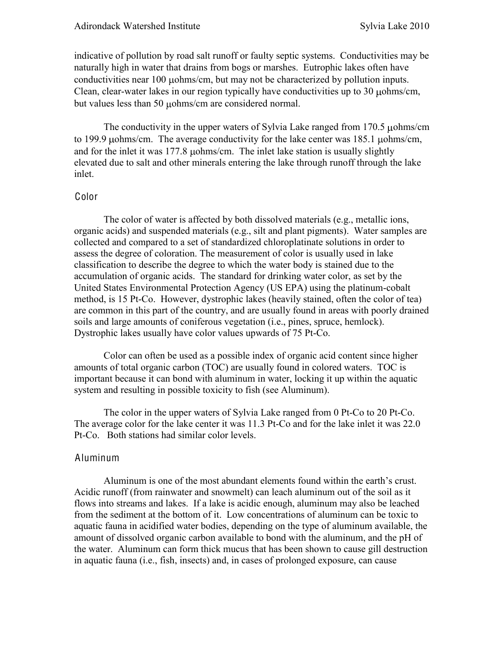indicative of pollution by road salt runoff or faulty septic systems. Conductivities may be naturally high in water that drains from bogs or marshes. Eutrophic lakes often have conductivities near 100  $\mu$ ohms/cm, but may not be characterized by pollution inputs. Clean, clear-water lakes in our region typically have conductivities up to 30  $\mu$ ohms/cm, but values less than 50  $\mu$ ohms/cm are considered normal.

The conductivity in the upper waters of Sylvia Lake ranged from  $170.5 \mu ohms/cm$ to 199.9 µohms/cm. The average conductivity for the lake center was 185.1 µohms/cm, and for the inlet it was  $177.8 \mu$  uphms/cm. The inlet lake station is usually slightly elevated due to salt and other minerals entering the lake through runoff through the lake inlet.

#### Color

The color of water is affected by both dissolved materials (e.g., metallic ions, organic acids) and suspended materials (e.g., silt and plant pigments). Water samples are collected and compared to a set of standardized chloroplatinate solutions in order to assess the degree of coloration. The measurement of color is usually used in lake classification to describe the degree to which the water body is stained due to the accumulation of organic acids. The standard for drinking water color, as set by the United States Environmental Protection Agency (US EPA) using the platinum-cobalt method, is 15 Pt-Co. However, dystrophic lakes (heavily stained, often the color of tea) are common in this part of the country, and are usually found in areas with poorly drained soils and large amounts of coniferous vegetation (i.e., pines, spruce, hemlock). Dystrophic lakes usually have color values upwards of 75 Pt-Co.

Color can often be used as a possible index of organic acid content since higher amounts of total organic carbon (TOC) are usually found in colored waters. TOC is important because it can bond with aluminum in water, locking it up within the aquatic system and resulting in possible toxicity to fish (see Aluminum).

The color in the upper waters of Sylvia Lake ranged from 0 Pt-Co to 20 Pt-Co. The average color for the lake center it was 11.3 Pt-Co and for the lake inlet it was 22.0 Pt-Co. Both stations had similar color levels.

#### Aluminum

Aluminum is one of the most abundant elements found within the earth's crust. Acidic runoff (from rainwater and snowmelt) can leach aluminum out of the soil as it flows into streams and lakes. If a lake is acidic enough, aluminum may also be leached from the sediment at the bottom of it. Low concentrations of aluminum can be toxic to aquatic fauna in acidified water bodies, depending on the type of aluminum available, the amount of dissolved organic carbon available to bond with the aluminum, and the pH of the water. Aluminum can form thick mucus that has been shown to cause gill destruction in aquatic fauna (i.e., fish, insects) and, in cases of prolonged exposure, can cause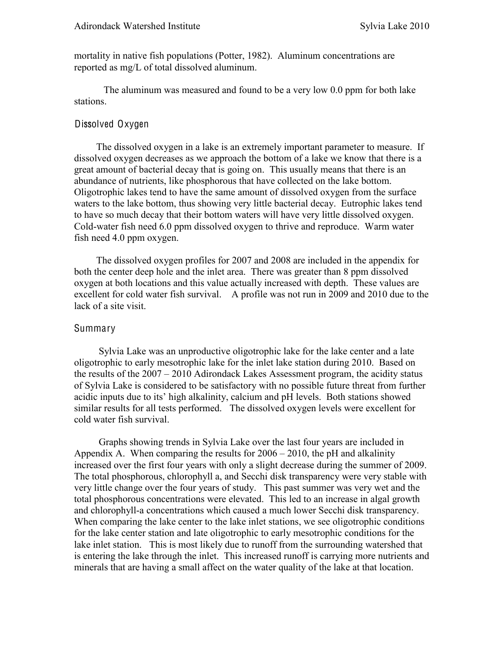mortality in native fish populations (Potter, 1982). Aluminum concentrations are reported as mg/L of total dissolved aluminum.

The aluminum was measured and found to be a very low 0.0 ppm for both lake stations.

#### Dissolved Oxygen

 The dissolved oxygen in a lake is an extremely important parameter to measure. If dissolved oxygen decreases as we approach the bottom of a lake we know that there is a great amount of bacterial decay that is going on. This usually means that there is an abundance of nutrients, like phosphorous that have collected on the lake bottom. Oligotrophic lakes tend to have the same amount of dissolved oxygen from the surface waters to the lake bottom, thus showing very little bacterial decay. Eutrophic lakes tend to have so much decay that their bottom waters will have very little dissolved oxygen. Cold-water fish need 6.0 ppm dissolved oxygen to thrive and reproduce. Warm water fish need 4.0 ppm oxygen.

 The dissolved oxygen profiles for 2007 and 2008 are included in the appendix for both the center deep hole and the inlet area. There was greater than 8 ppm dissolved oxygen at both locations and this value actually increased with depth. These values are excellent for cold water fish survival. A profile was not run in 2009 and 2010 due to the lack of a site visit.

#### Summary

 Sylvia Lake was an unproductive oligotrophic lake for the lake center and a late oligotrophic to early mesotrophic lake for the inlet lake station during 2010. Based on the results of the  $2007 - 2010$  Adirondack Lakes Assessment program, the acidity status of Sylvia Lake is considered to be satisfactory with no possible future threat from further acidic inputs due to its' high alkalinity, calcium and pH levels. Both stations showed similar results for all tests performed. The dissolved oxygen levels were excellent for cold water fish survival.

 Graphs showing trends in Sylvia Lake over the last four years are included in Appendix A. When comparing the results for  $2006 - 2010$ , the pH and alkalinity increased over the first four years with only a slight decrease during the summer of 2009. The total phosphorous, chlorophyll a, and Secchi disk transparency were very stable with very little change over the four years of study. This past summer was very wet and the total phosphorous concentrations were elevated. This led to an increase in algal growth and chlorophyll-a concentrations which caused a much lower Secchi disk transparency. When comparing the lake center to the lake inlet stations, we see oligotrophic conditions for the lake center station and late oligotrophic to early mesotrophic conditions for the lake inlet station. This is most likely due to runoff from the surrounding watershed that is entering the lake through the inlet. This increased runoff is carrying more nutrients and minerals that are having a small affect on the water quality of the lake at that location.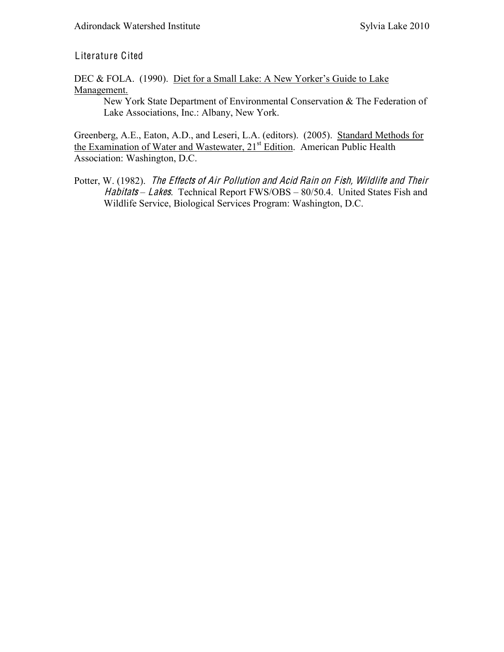Literature Cited

DEC & FOLA. (1990). Diet for a Small Lake: A New Yorker's Guide to Lake Management.

New York State Department of Environmental Conservation & The Federation of Lake Associations, Inc.: Albany, New York.

Greenberg, A.E., Eaton, A.D., and Leseri, L.A. (editors). (2005). Standard Methods for the Examination of Water and Wastewater, 21<sup>st</sup> Edition. American Public Health Association: Washington, D.C.

Potter, W. (1982). The Effects of Air Pollution and Acid Rain on Fish, Wildlife and Their Habitats - Lakes. Technical Report FWS/OBS - 80/50.4. United States Fish and Wildlife Service, Biological Services Program: Washington, D.C.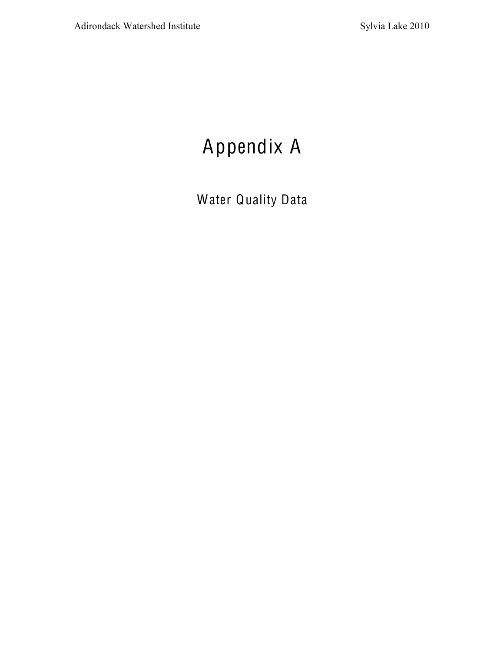# Appendix A

Water Quality Data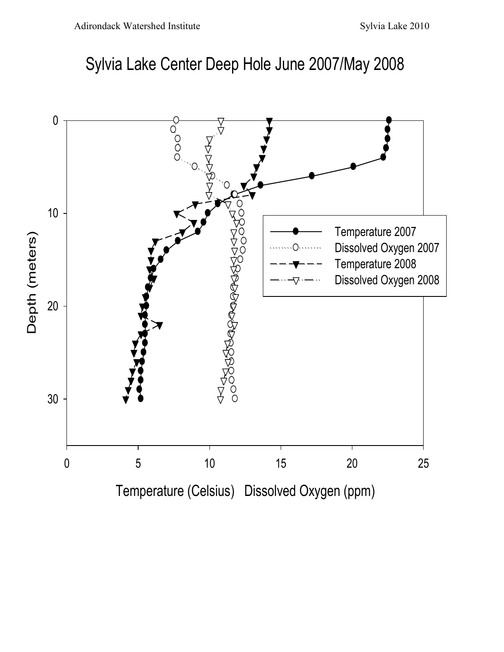## Sylvia Lake Center Deep Hole June 2007/May 2008

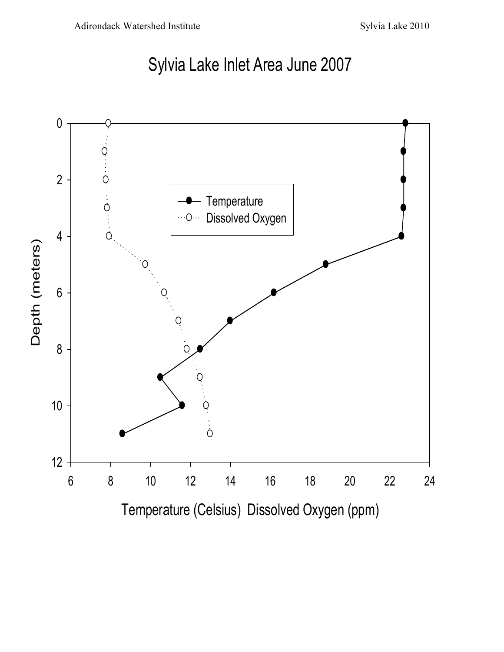# Sylvia Lake Inlet Area June 2007

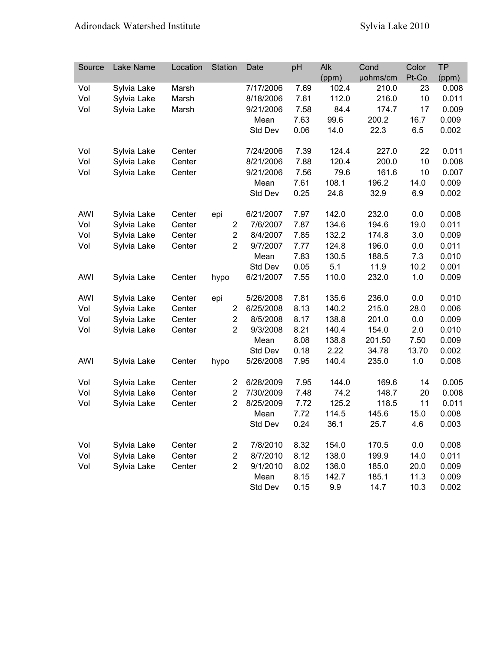I

| Source | Lake Name   | Location | Station          | Date      | pH   | Alk   | Cond     | Color | <b>TP</b> |
|--------|-------------|----------|------------------|-----------|------|-------|----------|-------|-----------|
|        |             |          |                  |           |      | (ppm) | µohms/cm | Pt-Co | (ppm)     |
| Vol    | Sylvia Lake | Marsh    |                  | 7/17/2006 | 7.69 | 102.4 | 210.0    | 23    | 0.008     |
| Vol    | Sylvia Lake | Marsh    |                  | 8/18/2006 | 7.61 | 112.0 | 216.0    | 10    | 0.011     |
| Vol    | Sylvia Lake | Marsh    |                  | 9/21/2006 | 7.58 | 84.4  | 174.7    | 17    | 0.009     |
|        |             |          |                  | Mean      | 7.63 | 99.6  | 200.2    | 16.7  | 0.009     |
|        |             |          |                  | Std Dev   | 0.06 | 14.0  | 22.3     | 6.5   | 0.002     |
| Vol    | Sylvia Lake | Center   |                  | 7/24/2006 | 7.39 | 124.4 | 227.0    | 22    | 0.011     |
| Vol    | Sylvia Lake | Center   |                  | 8/21/2006 | 7.88 | 120.4 | 200.0    | 10    | 0.008     |
| Vol    | Sylvia Lake | Center   |                  | 9/21/2006 | 7.56 | 79.6  | 161.6    | 10    | 0.007     |
|        |             |          |                  | Mean      | 7.61 | 108.1 | 196.2    | 14.0  | 0.009     |
|        |             |          |                  | Std Dev   | 0.25 | 24.8  | 32.9     | 6.9   | 0.002     |
| AWI    | Sylvia Lake | Center   | epi              | 6/21/2007 | 7.97 | 142.0 | 232.0    | 0.0   | 0.008     |
| Vol    | Sylvia Lake | Center   | $\boldsymbol{2}$ | 7/6/2007  | 7.87 | 134.6 | 194.6    | 19.0  | 0.011     |
| Vol    | Sylvia Lake | Center   | $\overline{2}$   | 8/4/2007  | 7.85 | 132.2 | 174.8    | 3.0   | 0.009     |
| Vol    | Sylvia Lake | Center   | $\overline{2}$   | 9/7/2007  | 7.77 | 124.8 | 196.0    | 0.0   | 0.011     |
|        |             |          |                  | Mean      | 7.83 | 130.5 | 188.5    | 7.3   | 0.010     |
|        |             |          |                  | Std Dev   | 0.05 | 5.1   | 11.9     | 10.2  | 0.001     |
| AWI    | Sylvia Lake | Center   | hypo             | 6/21/2007 | 7.55 | 110.0 | 232.0    | 1.0   | 0.009     |
| AWI    | Sylvia Lake | Center   | epi              | 5/26/2008 | 7.81 | 135.6 | 236.0    | 0.0   | 0.010     |
| Vol    | Sylvia Lake | Center   | $\boldsymbol{2}$ | 6/25/2008 | 8.13 | 140.2 | 215.0    | 28.0  | 0.006     |
| Vol    | Sylvia Lake | Center   | $\overline{2}$   | 8/5/2008  | 8.17 | 138.8 | 201.0    | 0.0   | 0.009     |
| Vol    | Sylvia Lake | Center   | $\overline{2}$   | 9/3/2008  | 8.21 | 140.4 | 154.0    | 2.0   | 0.010     |
|        |             |          |                  | Mean      | 8.08 | 138.8 | 201.50   | 7.50  | 0.009     |
|        |             |          |                  | Std Dev   | 0.18 | 2.22  | 34.78    | 13.70 | 0.002     |
| AWI    | Sylvia Lake | Center   | hypo             | 5/26/2008 | 7.95 | 140.4 | 235.0    | 1.0   | 0.008     |
| Vol    | Sylvia Lake | Center   | $\overline{2}$   | 6/28/2009 | 7.95 | 144.0 | 169.6    | 14    | 0.005     |
| Vol    | Sylvia Lake | Center   | $\overline{2}$   | 7/30/2009 | 7.48 | 74.2  | 148.7    | 20    | 0.008     |
| Vol    | Sylvia Lake | Center   | $\overline{2}$   | 8/25/2009 | 7.72 | 125.2 | 118.5    | 11    | 0.011     |
|        |             |          |                  | Mean      | 7.72 | 114.5 | 145.6    | 15.0  | 0.008     |
|        |             |          |                  | Std Dev   | 0.24 | 36.1  | 25.7     | 4.6   | 0.003     |
| Vol    | Sylvia Lake | Center   | $\overline{2}$   | 7/8/2010  | 8.32 | 154.0 | 170.5    | 0.0   | 0.008     |
| Vol    | Sylvia Lake | Center   | $\overline{2}$   | 8/7/2010  | 8.12 | 138.0 | 199.9    | 14.0  | 0.011     |
| Vol    | Sylvia Lake | Center   | $\overline{2}$   | 9/1/2010  | 8.02 | 136.0 | 185.0    | 20.0  | 0.009     |
|        |             |          |                  | Mean      | 8.15 | 142.7 | 185.1    | 11.3  | 0.009     |
|        |             |          |                  | Std Dev   | 0.15 | 9.9   | 14.7     | 10.3  | 0.002     |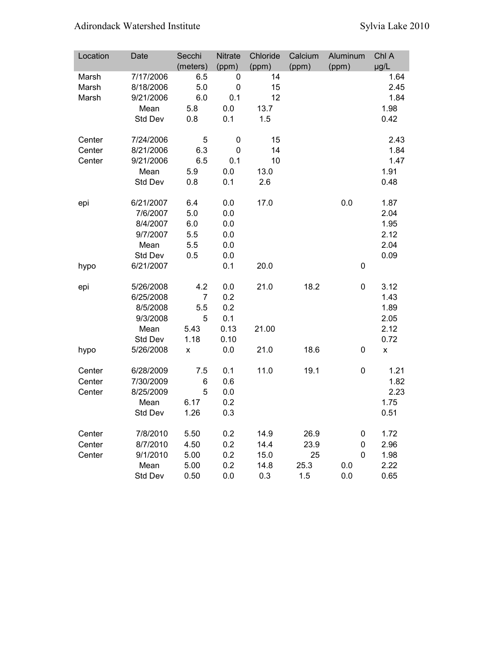| Location | Date           | Secchi   | <b>Nitrate</b> | Chloride | Calcium | Aluminum | Chl A              |
|----------|----------------|----------|----------------|----------|---------|----------|--------------------|
|          |                | (meters) | (ppm)          | (ppm)    | (ppm)   | (ppm)    | µg/L               |
| Marsh    | 7/17/2006      | 6.5      | 0              | 14       |         |          | 1.64               |
| Marsh    | 8/18/2006      | 5.0      | 0              | 15       |         |          | 2.45               |
| Marsh    | 9/21/2006      | 6.0      | 0.1            | 12       |         |          | 1.84               |
|          | Mean           | 5.8      | 0.0            | 13.7     |         |          | 1.98               |
|          | <b>Std Dev</b> | 0.8      | 0.1            | 1.5      |         |          | 0.42               |
| Center   | 7/24/2006      | 5        | 0              | 15       |         |          | 2.43               |
| Center   | 8/21/2006      | 6.3      | 0              | 14       |         |          | 1.84               |
| Center   | 9/21/2006      | 6.5      | 0.1            | 10       |         |          | 1.47               |
|          | Mean           | 5.9      | 0.0            | 13.0     |         |          | 1.91               |
|          | Std Dev        | 0.8      | 0.1            | 2.6      |         |          | 0.48               |
| epi      | 6/21/2007      | 6.4      | 0.0            | 17.0     |         | 0.0      | 1.87               |
|          | 7/6/2007       | 5.0      | 0.0            |          |         |          | 2.04               |
|          | 8/4/2007       | 6.0      | 0.0            |          |         |          | 1.95               |
|          | 9/7/2007       | 5.5      | 0.0            |          |         |          | 2.12               |
|          | Mean           | 5.5      | 0.0            |          |         |          | 2.04               |
|          | Std Dev        | 0.5      | 0.0            |          |         |          | 0.09               |
| hypo     | 6/21/2007      |          | 0.1            | 20.0     |         | 0        |                    |
| epi      | 5/26/2008      | 4.2      | 0.0            | 21.0     | 18.2    | 0        | 3.12               |
|          | 6/25/2008      | 7        | 0.2            |          |         |          | 1.43               |
|          | 8/5/2008       | 5.5      | 0.2            |          |         |          | 1.89               |
|          | 9/3/2008       | 5        | 0.1            |          |         |          | 2.05               |
|          | Mean           | 5.43     | 0.13           | 21.00    |         |          | 2.12               |
|          | Std Dev        | 1.18     | 0.10           |          |         |          | 0.72               |
| hypo     | 5/26/2008      | X        | 0.0            | 21.0     | 18.6    | 0        | $\pmb{\mathsf{x}}$ |
| Center   | 6/28/2009      | 7.5      | 0.1            | 11.0     | 19.1    | 0        | 1.21               |
| Center   | 7/30/2009      | 6        | 0.6            |          |         |          | 1.82               |
| Center   | 8/25/2009      | 5        | 0.0            |          |         |          | 2.23               |
|          | Mean           | 6.17     | 0.2            |          |         |          | 1.75               |
|          | Std Dev        | 1.26     | 0.3            |          |         |          | 0.51               |
| Center   | 7/8/2010       | 5.50     | 0.2            | 14.9     | 26.9    | 0        | 1.72               |
| Center   | 8/7/2010       | 4.50     | 0.2            | 14.4     | 23.9    | 0        | 2.96               |
| Center   | 9/1/2010       | 5.00     | 0.2            | 15.0     | 25      | 0        | 1.98               |
|          | Mean           | 5.00     | 0.2            | 14.8     | 25.3    | 0.0      | 2.22               |
|          | Std Dev        | 0.50     | 0.0            | 0.3      | 1.5     | 0.0      | 0.65               |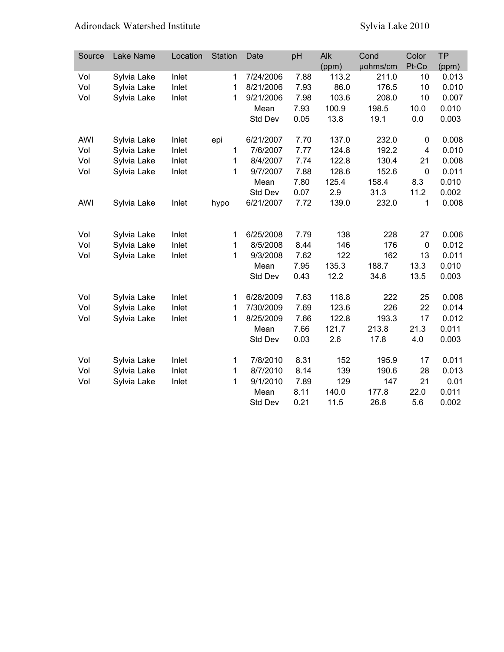| Source | Lake Name   | Location | <b>Station</b> | Date      | pH   | Alk   | Cond     | Color        | <b>TP</b> |
|--------|-------------|----------|----------------|-----------|------|-------|----------|--------------|-----------|
|        |             |          |                |           |      | (ppm) | µohms/cm | Pt-Co        | (ppm)     |
| Vol    | Sylvia Lake | Inlet    | 1              | 7/24/2006 | 7.88 | 113.2 | 211.0    | 10           | 0.013     |
| Vol    | Sylvia Lake | Inlet    | 1              | 8/21/2006 | 7.93 | 86.0  | 176.5    | 10           | 0.010     |
| Vol    | Sylvia Lake | Inlet    | 1              | 9/21/2006 | 7.98 | 103.6 | 208.0    | 10           | 0.007     |
|        |             |          |                | Mean      | 7.93 | 100.9 | 198.5    | 10.0         | 0.010     |
|        |             |          |                | Std Dev   | 0.05 | 13.8  | 19.1     | 0.0          | 0.003     |
| AWI    | Sylvia Lake | Inlet    | epi            | 6/21/2007 | 7.70 | 137.0 | 232.0    | 0            | 0.008     |
| Vol    | Sylvia Lake | Inlet    | 1              | 7/6/2007  | 7.77 | 124.8 | 192.2    | 4            | 0.010     |
| Vol    | Sylvia Lake | Inlet    | 1              | 8/4/2007  | 7.74 | 122.8 | 130.4    | 21           | 0.008     |
| Vol    | Sylvia Lake | Inlet    | 1              | 9/7/2007  | 7.88 | 128.6 | 152.6    | $\mathbf 0$  | 0.011     |
|        |             |          |                | Mean      | 7.80 | 125.4 | 158.4    | 8.3          | 0.010     |
|        |             |          |                | Std Dev   | 0.07 | 2.9   | 31.3     | 11.2         | 0.002     |
| AWI    | Sylvia Lake | Inlet    | hypo           | 6/21/2007 | 7.72 | 139.0 | 232.0    | $\mathbf{1}$ | 0.008     |
|        |             |          |                |           |      |       |          |              |           |
| Vol    | Sylvia Lake | Inlet    | 1              | 6/25/2008 | 7.79 | 138   | 228      | 27           | 0.006     |
| Vol    | Sylvia Lake | Inlet    | 1              | 8/5/2008  | 8.44 | 146   | 176      | 0            | 0.012     |
| Vol    | Sylvia Lake | Inlet    | 1              | 9/3/2008  | 7.62 | 122   | 162      | 13           | 0.011     |
|        |             |          |                | Mean      | 7.95 | 135.3 | 188.7    | 13.3         | 0.010     |
|        |             |          |                | Std Dev   | 0.43 | 12.2  | 34.8     | 13.5         | 0.003     |
| Vol    | Sylvia Lake | Inlet    | 1              | 6/28/2009 | 7.63 | 118.8 | 222      | 25           | 0.008     |
| Vol    | Sylvia Lake | Inlet    | 1              | 7/30/2009 | 7.69 | 123.6 | 226      | 22           | 0.014     |
| Vol    | Sylvia Lake | Inlet    | 1              | 8/25/2009 | 7.66 | 122.8 | 193.3    | 17           | 0.012     |
|        |             |          |                | Mean      | 7.66 | 121.7 | 213.8    | 21.3         | 0.011     |
|        |             |          |                | Std Dev   | 0.03 | 2.6   | 17.8     | 4.0          | 0.003     |
|        |             |          |                |           |      |       |          |              |           |
| Vol    | Sylvia Lake | Inlet    | 1              | 7/8/2010  | 8.31 | 152   | 195.9    | 17           | 0.011     |
| Vol    | Sylvia Lake | Inlet    | 1              | 8/7/2010  | 8.14 | 139   | 190.6    | 28           | 0.013     |
| Vol    | Sylvia Lake | Inlet    | 1              | 9/1/2010  | 7.89 | 129   | 147      | 21           | 0.01      |
|        |             |          |                | Mean      | 8.11 | 140.0 | 177.8    | 22.0         | 0.011     |
|        |             |          |                | Std Dev   | 0.21 | 11.5  | 26.8     | 5.6          | 0.002     |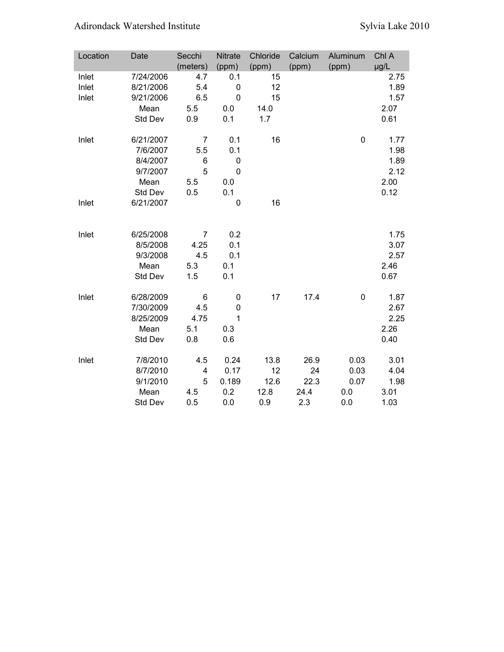| Location                | Date                                                                          | Secchi<br>(meters)               | <b>Nitrate</b><br>(ppm)                                     | Chloride<br>(ppm)                 | Calcium<br>(ppm)                  | Aluminum<br>(ppm)                  | Chl A<br>$\mu$ g/L                           |
|-------------------------|-------------------------------------------------------------------------------|----------------------------------|-------------------------------------------------------------|-----------------------------------|-----------------------------------|------------------------------------|----------------------------------------------|
| Inlet<br>Inlet<br>Inlet | 7/24/2006<br>8/21/2006<br>9/21/2006<br>Mean<br>Std Dev                        | 4.7<br>5.4<br>6.5<br>5.5<br>0.9  | 0.1<br>0<br>$\mathbf 0$<br>0.0<br>0.1                       | 15<br>12<br>15<br>14.0<br>1.7     |                                   |                                    | 2.75<br>1.89<br>1.57<br>2.07<br>0.61         |
| Inlet<br>Inlet          | 6/21/2007<br>7/6/2007<br>8/4/2007<br>9/7/2007<br>Mean<br>Std Dev<br>6/21/2007 | 7<br>5.5<br>6<br>5<br>5.5<br>0.5 | 0.1<br>0.1<br>$\mathbf 0$<br>$\mathbf 0$<br>0.0<br>0.1<br>0 | 16<br>16                          |                                   | 0                                  | 1.77<br>1.98<br>1.89<br>2.12<br>2.00<br>0.12 |
|                         |                                                                               |                                  |                                                             |                                   |                                   |                                    |                                              |
| Inlet                   | 6/25/2008<br>8/5/2008<br>9/3/2008<br>Mean<br>Std Dev                          | 7<br>4.25<br>4.5<br>5.3<br>1.5   | 0.2<br>0.1<br>0.1<br>0.1<br>0.1                             |                                   |                                   |                                    | 1.75<br>3.07<br>2.57<br>2.46<br>0.67         |
| Inlet                   | 6/28/2009<br>7/30/2009<br>8/25/2009<br>Mean<br>Std Dev                        | 6<br>4.5<br>4.75<br>5.1<br>0.8   | 0<br>0<br>$\mathbf{1}$<br>0.3<br>0.6                        | 17                                | 17.4                              | 0                                  | 1.87<br>2.67<br>2.25<br>2.26<br>0.40         |
| Inlet                   | 7/8/2010<br>8/7/2010<br>9/1/2010<br>Mean<br><b>Std Dev</b>                    | 4.5<br>4<br>5<br>4.5<br>0.5      | 0.24<br>0.17<br>0.189<br>0.2<br>0.0                         | 13.8<br>12<br>12.6<br>12.8<br>0.9 | 26.9<br>24<br>22.3<br>24.4<br>2.3 | 0.03<br>0.03<br>0.07<br>0.0<br>0.0 | 3.01<br>4.04<br>1.98<br>3.01<br>1.03         |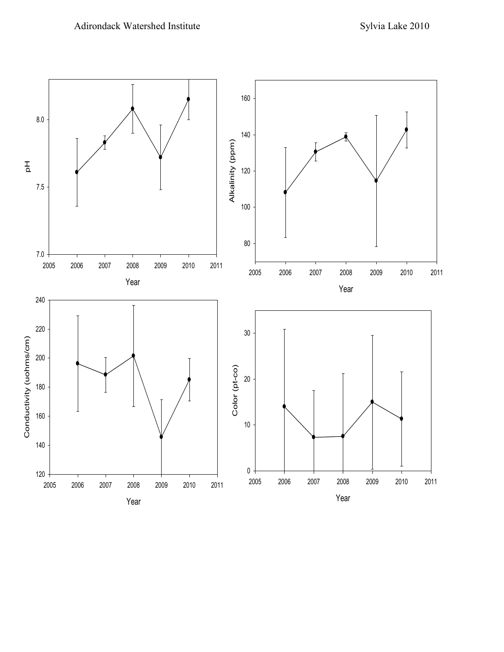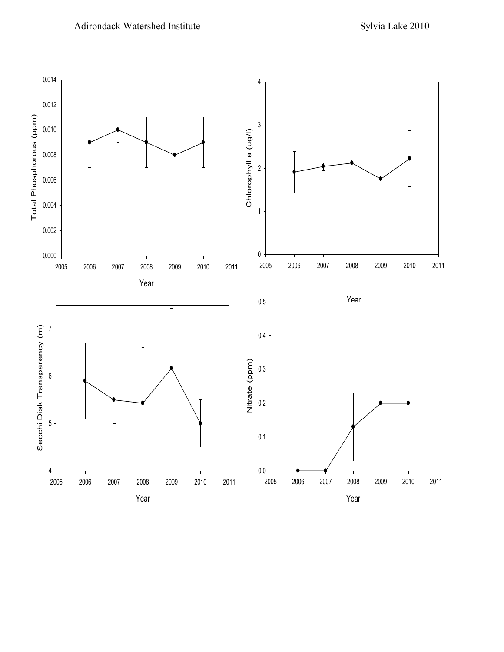